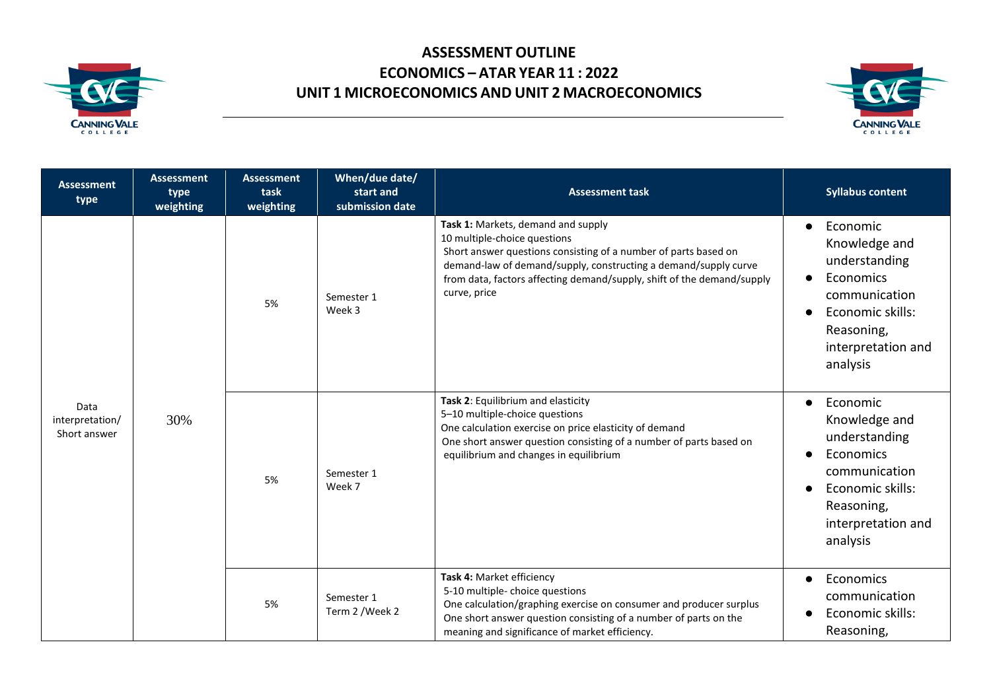



| <b>Assessment</b><br>type               | <b>Assessment</b><br>type<br>weighting | <b>Assessment</b><br>task<br>weighting | When/due date/<br>start and<br>submission date | <b>Assessment task</b>                                                                                                                                                                                                                                                                             | <b>Syllabus content</b>                                                                                                                                   |
|-----------------------------------------|----------------------------------------|----------------------------------------|------------------------------------------------|----------------------------------------------------------------------------------------------------------------------------------------------------------------------------------------------------------------------------------------------------------------------------------------------------|-----------------------------------------------------------------------------------------------------------------------------------------------------------|
| Data<br>interpretation/<br>Short answer | 30%                                    | 5%                                     | Semester 1<br>Week 3                           | Task 1: Markets, demand and supply<br>10 multiple-choice questions<br>Short answer questions consisting of a number of parts based on<br>demand-law of demand/supply, constructing a demand/supply curve<br>from data, factors affecting demand/supply, shift of the demand/supply<br>curve, price | Economic<br>$\bullet$<br>Knowledge and<br>understanding<br>Economics<br>communication<br>Economic skills:<br>Reasoning,<br>interpretation and<br>analysis |
|                                         |                                        | 5%                                     | Semester 1<br>Week 7                           | Task 2: Equilibrium and elasticity<br>5-10 multiple-choice questions<br>One calculation exercise on price elasticity of demand<br>One short answer question consisting of a number of parts based on<br>equilibrium and changes in equilibrium                                                     | Economic<br>Knowledge and<br>understanding<br>Economics<br>communication<br>Economic skills:<br>Reasoning,<br>interpretation and<br>analysis              |
|                                         |                                        | 5%                                     | Semester 1<br>Term 2 / Week 2                  | Task 4: Market efficiency<br>5-10 multiple- choice questions<br>One calculation/graphing exercise on consumer and producer surplus<br>One short answer question consisting of a number of parts on the<br>meaning and significance of market efficiency.                                           | Economics<br>communication<br>Economic skills:<br>Reasoning,                                                                                              |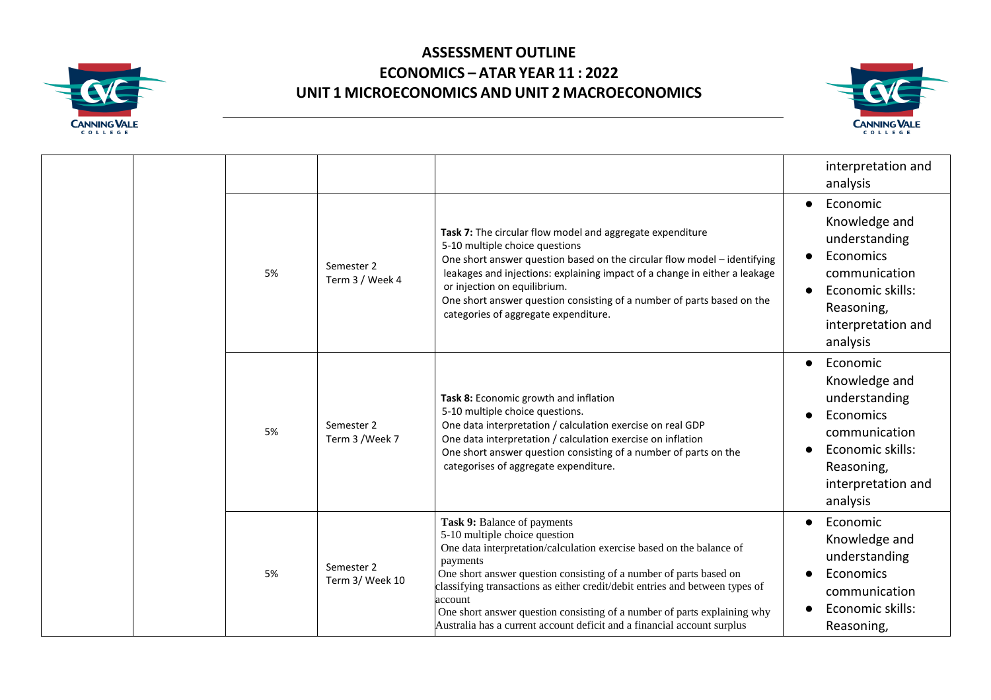



|  |  |    |                               |                                                                                                                                                                                                                                                                                                                                                                                                                                                                          | interpretation and<br>analysis                                                                                                                            |
|--|--|----|-------------------------------|--------------------------------------------------------------------------------------------------------------------------------------------------------------------------------------------------------------------------------------------------------------------------------------------------------------------------------------------------------------------------------------------------------------------------------------------------------------------------|-----------------------------------------------------------------------------------------------------------------------------------------------------------|
|  |  | 5% | Semester 2<br>Term 3 / Week 4 | Task 7: The circular flow model and aggregate expenditure<br>5-10 multiple choice questions<br>One short answer question based on the circular flow model - identifying<br>leakages and injections: explaining impact of a change in either a leakage<br>or injection on equilibrium.<br>One short answer question consisting of a number of parts based on the<br>categories of aggregate expenditure.                                                                  | Economic<br>$\bullet$<br>Knowledge and<br>understanding<br>Economics<br>communication<br>Economic skills:<br>Reasoning,<br>interpretation and<br>analysis |
|  |  | 5% | Semester 2<br>Term 3 /Week 7  | Task 8: Economic growth and inflation<br>5-10 multiple choice questions.<br>One data interpretation / calculation exercise on real GDP<br>One data interpretation / calculation exercise on inflation<br>One short answer question consisting of a number of parts on the<br>categorises of aggregate expenditure.                                                                                                                                                       | Economic<br>$\bullet$<br>Knowledge and<br>understanding<br>Economics<br>communication<br>Economic skills:<br>Reasoning,<br>interpretation and<br>analysis |
|  |  | 5% | Semester 2<br>Term 3/ Week 10 | Task 9: Balance of payments<br>5-10 multiple choice question<br>One data interpretation/calculation exercise based on the balance of<br>payments<br>One short answer question consisting of a number of parts based on<br>classifying transactions as either credit/debit entries and between types of<br>account<br>One short answer question consisting of a number of parts explaining why<br>Australia has a current account deficit and a financial account surplus | Economic<br>$\bullet$<br>Knowledge and<br>understanding<br>Economics<br>communication<br>Economic skills:<br>Reasoning,                                   |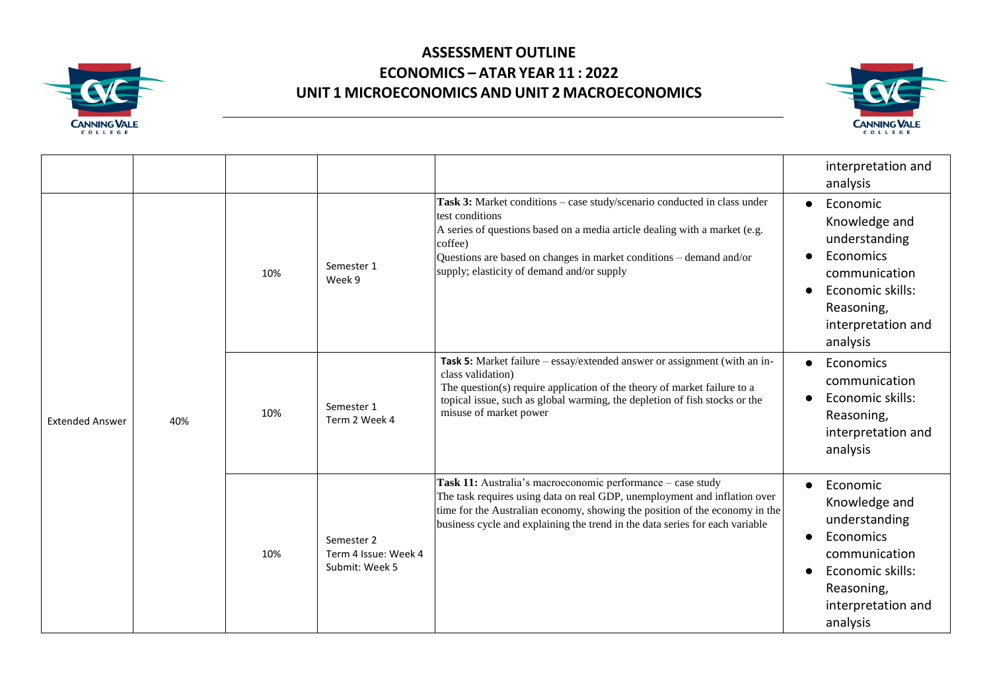



|                        |     |     |                                                      |                                                                                                                                                                                                                                                                                                           | interpretation and<br>analysis                                                                                                                            |
|------------------------|-----|-----|------------------------------------------------------|-----------------------------------------------------------------------------------------------------------------------------------------------------------------------------------------------------------------------------------------------------------------------------------------------------------|-----------------------------------------------------------------------------------------------------------------------------------------------------------|
| <b>Extended Answer</b> | 40% | 10% | Semester 1<br>Week 9                                 | Task 3: Market conditions - case study/scenario conducted in class under<br>test conditions<br>A series of questions based on a media article dealing with a market (e.g.<br>coffee)<br>Questions are based on changes in market conditions - demand and/or<br>supply; elasticity of demand and/or supply | Economic<br>$\bullet$<br>Knowledge and<br>understanding<br>Economics<br>communication<br>Economic skills:<br>Reasoning,<br>interpretation and<br>analysis |
|                        |     | 10% | Semester 1<br>Term 2 Week 4                          | Task 5: Market failure – essay/extended answer or assignment (with an in-<br>class validation)<br>The question(s) require application of the theory of market failure to a<br>topical issue, such as global warming, the depletion of fish stocks or the<br>misuse of market power                        | Economics<br>$\bullet$<br>communication<br>Economic skills:<br>Reasoning,<br>interpretation and<br>analysis                                               |
|                        |     | 10% | Semester 2<br>Term 4 Issue: Week 4<br>Submit: Week 5 | Task 11: Australia's macroeconomic performance - case study<br>The task requires using data on real GDP, unemployment and inflation over<br>time for the Australian economy, showing the position of the economy in the<br>business cycle and explaining the trend in the data series for each variable   | Economic<br>$\bullet$<br>Knowledge and<br>understanding<br>Economics<br>communication<br>Economic skills:<br>Reasoning,<br>interpretation and<br>analysis |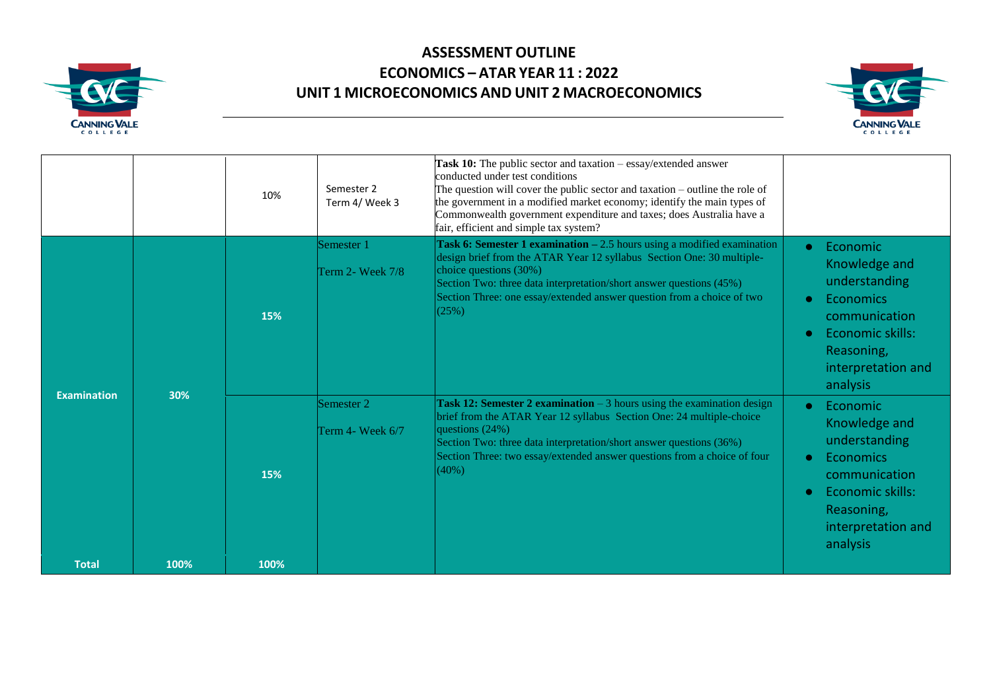



|                    |      | 10%  | Semester 2<br>Term 4/ Week 3     | Task 10: The public sector and taxation - essay/extended answer<br>conducted under test conditions<br>The question will cover the public sector and taxation – outline the role of<br>the government in a modified market economy; identify the main types of<br>Commonwealth government expenditure and taxes; does Australia have a<br>fair, efficient and simple tax system? |                                                                                                                                                                                     |
|--------------------|------|------|----------------------------------|---------------------------------------------------------------------------------------------------------------------------------------------------------------------------------------------------------------------------------------------------------------------------------------------------------------------------------------------------------------------------------|-------------------------------------------------------------------------------------------------------------------------------------------------------------------------------------|
|                    |      | 15%  | Semester 1<br>Term 2- Week $7/8$ | Task 6: Semester 1 examination $-2.5$ hours using a modified examination<br>design brief from the ATAR Year 12 syllabus Section One: 30 multiple-<br>choice questions (30%)<br>Section Two: three data interpretation/short answer questions (45%)<br>Section Three: one essay/extended answer question from a choice of two<br>(25%)                                           | Economic<br>$\bullet$<br>Knowledge and<br>understanding<br>Economics<br>$\bullet$<br>communication<br>Economic skills:<br>$\bullet$<br>Reasoning,<br>interpretation and<br>analysis |
| <b>Examination</b> | 30%  | 15%  | Semester 2<br>Term 4- Week 6/7   | <b>Task 12: Semester 2 examination</b> $-3$ hours using the examination design<br>brief from the ATAR Year 12 syllabus Section One: 24 multiple-choice<br>questions (24%)<br>Section Two: three data interpretation/short answer questions (36%)<br>Section Three: two essay/extended answer questions from a choice of four<br>(40%)                                           | Economic<br>$\bullet$<br>Knowledge and<br>understanding<br>Economics<br>$\bullet$<br>communication<br>Economic skills:<br>$\bullet$<br>Reasoning,<br>interpretation and<br>analysis |
| <b>Total</b>       | 100% | 100% |                                  |                                                                                                                                                                                                                                                                                                                                                                                 |                                                                                                                                                                                     |